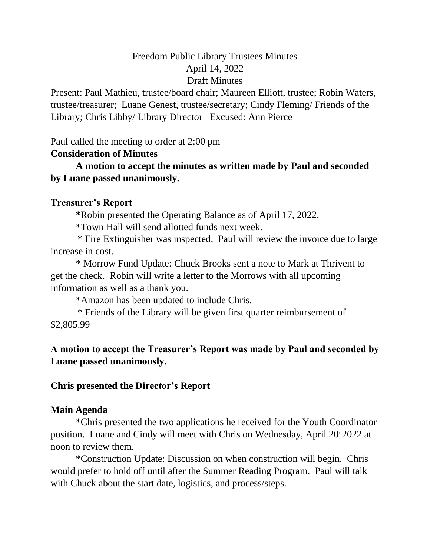# Freedom Public Library Trustees Minutes April 14, 2022 Draft Minutes

Present: Paul Mathieu, trustee/board chair; Maureen Elliott, trustee; Robin Waters, trustee/treasurer; Luane Genest, trustee/secretary; Cindy Fleming/ Friends of the Library; Chris Libby/ Library Director Excused: Ann Pierce

Paul called the meeting to order at 2:00 pm

# **Consideration of Minutes**

**A motion to accept the minutes as written made by Paul and seconded by Luane passed unanimously.**

# **Treasurer's Report**

**\***Robin presented the Operating Balance as of April 17, 2022.

\*Town Hall will send allotted funds next week.

 \* Fire Extinguisher was inspected. Paul will review the invoice due to large increase in cost.

\* Morrow Fund Update: Chuck Brooks sent a note to Mark at Thrivent to get the check. Robin will write a letter to the Morrows with all upcoming information as well as a thank you.

\*Amazon has been updated to include Chris.

 \* Friends of the Library will be given first quarter reimbursement of \$2,805.99

# **A motion to accept the Treasurer's Report was made by Paul and seconded by Luane passed unanimously.**

### **Chris presented the Director's Report**

# **Main Agenda**

\*Chris presented the two applications he received for the Youth Coordinator position. Luane and Cindy will meet with Chris on Wednesday, April 20 2022 at noon to review them.

\*Construction Update: Discussion on when construction will begin. Chris would prefer to hold off until after the Summer Reading Program. Paul will talk with Chuck about the start date, logistics, and process/steps.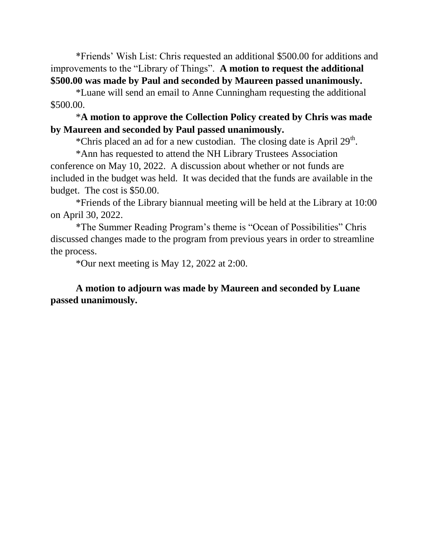\*Friends' Wish List: Chris requested an additional \$500.00 for additions and improvements to the "Library of Things". **A motion to request the additional \$500.00 was made by Paul and seconded by Maureen passed unanimously.**

\*Luane will send an email to Anne Cunningham requesting the additional \$500.00.

### \***A motion to approve the Collection Policy created by Chris was made by Maureen and seconded by Paul passed unanimously.**

\*Chris placed an ad for a new custodian. The closing date is April 29<sup>th</sup>.

\*Ann has requested to attend the NH Library Trustees Association conference on May 10, 2022. A discussion about whether or not funds are included in the budget was held. It was decided that the funds are available in the budget. The cost is \$50.00.

\*Friends of the Library biannual meeting will be held at the Library at 10:00 on April 30, 2022.

\*The Summer Reading Program's theme is "Ocean of Possibilities" Chris discussed changes made to the program from previous years in order to streamline the process.

\*Our next meeting is May 12, 2022 at 2:00.

**A motion to adjourn was made by Maureen and seconded by Luane passed unanimously.**